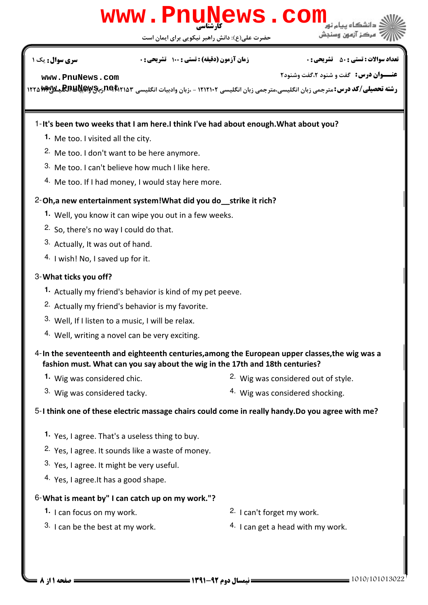## كارشناسي **[www.PnuNews.com](http://pnunews.com)**

حضرت علي(ع): دانش راهبر نيكويي براي ايمان است

#### نعداد سوالات : تستي : ۵۰ ٪ تشريحي : ۰ ٪ مسري سري سري حمد نشريحي نشريحي : ۰ ، صبحت سري سوال : يک 1

**عنـــوان درس:** گفت و شنود ۲،گفت وشنود۲

**[www.PnuNews.com](http://pnunews.com)**

ر**شته تحصیلی/کد درس:**مترجمی زبان انگلیسی،مترجمی زبان انگلیسی ۱۲۱۲۱۰۲ - ،زبان وادبیات انگلیسی Pet Tra **Mwyyl و RmyM**<br>د

#### 1-It's been two weeks that I am here.I think I've had about enough. What about you?

- Me too. I visited all the city. **1.**
- 2. Me too. I don't want to be here anymore.
- 3. Me too. I can't believe how much I like here.
- 4. Me too. If I had money, I would stay here more.

#### 2-Oh,a new entertainment system!What did you do\_\_strike it rich?

- Well, you know it can wipe you out in a few weeks. **1.**
- 2. So, there's no way I could do that.
- 3. Actually, It was out of hand.
- 4. I wish! No, I saved up for it.

#### What ticks you off? 3-

- Actually my friend's behavior is kind of my pet peeve. **1.**
- 2. Actually my friend's behavior is my favorite.
- 3. Well, If I listen to a music, I will be relax.
- 4. Well, writing a novel can be very exciting.

#### 4-In the seventeenth and eighteenth centuries,among the European upper classes,the wig was a fashion must. What can you say about the wig in the 17th and 18th centuries?

**1.** Wig was considered chic.

2. Wig was considered out of style.

3. Wig was considered tacky.

4. Wig was considered shocking.

#### 5-I think one of these electric massage chairs could come in really handy.Do you agree with me?

- 1. Yes, I agree. That's a useless thing to buy.
- <sup>2.</sup> Yes, I agree. It sounds like a waste of money.
- 3. Yes, I agree. It might be very useful.
- 4. Yes, I agree. It has a good shape.

#### What is meant by" I can catch up on my work."? 6-

- **1.** I can focus on my work.  $\frac{2}{1}$  can't forget my work.
- 3. I can be the best at my work.
- 
- $4.$  I can get a head with my work.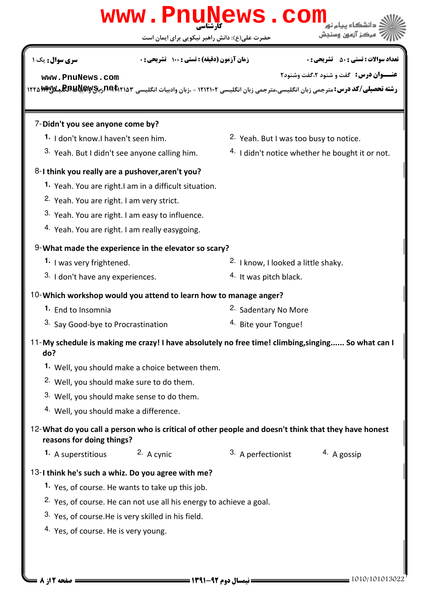### حضرت علي(ع): دانش راهبر نيكويي براي ايمان است كارشناسي **[www.PnuNews.com](http://pnunews.com) عنـــوان درس:** گفت و شنود ۲،گفت وشنود۲ ر**شته تحصیلی/کد درس:**مترجمی زبان انگلیسی،مترجمی زبان انگلیسی ۱۲۱۲۱۰۲ - ،زبان وادبیات انگلیسی Pet Tra **Mwyyl و RmyM**<br>د نعداد سوالات : تستي : ۵۰ ٪ تشريحي : ۰ ٪ مسري سري سري حمد نشريحي نشريحي : ۰ ، صبحت سري سوال : يک 1 7-Didn't you see anyone come by? 2. Yeah. But I was too busy to notice.  $4.$  I didn't notice whether he bought it or not. **1.** I don't know. I haven't seen him. 3. Yeah. But I didn't see anyone calling him. 8-I think you really are a pushover,aren't you? 1. Yeah. You are right.I am in a difficult situation. 2. Yeah. You are right. I am very strict. 3. Yeah. You are right. I am easy to influence. 4. Yeah. You are right. I am really easygoing. 9- What made the experience in the elevator so scary?  $2.$  I know, I looked a little shaky.  $3.$  I don't have any experiences.  $\frac{4.1}{10}$  lt was pitch black. **1.** I was very frightened. Which workshop would you attend to learn how to manage anger? 10- 2. Sadentary No More <sup>3.</sup> Say Good-bye to Procrastination **8. 1998** 4. Bite your Tongue! **1.** End to Insomnia 11-My schedule is making me crazy! I have absolutely no free time! climbing, singing...... So what can I do? Well, you should make a choice between them. **1.** 2. Well, you should make sure to do them. 3. Well, you should make sense to do them. 4. Well, you should make a difference. What do you call a person who is critical of other people and doesn't think that they have honest 12 reasons for doing things? 1. A superstitious <sup>2.</sup> A cynic <sup>3.</sup> A perfectionist <sup>4.</sup> A gossip 13-I think he's such a whiz. Do you agree with me? 1. Yes, of course. He wants to take up this job. <sup>2.</sup> Yes, of course. He can not use all his energy to achieve a goal.  $3.$  Yes, of course. He is very skilled in his field. 4. Yes, of course. He is very young. **[www.PnuNews.com](http://pnunews.com)**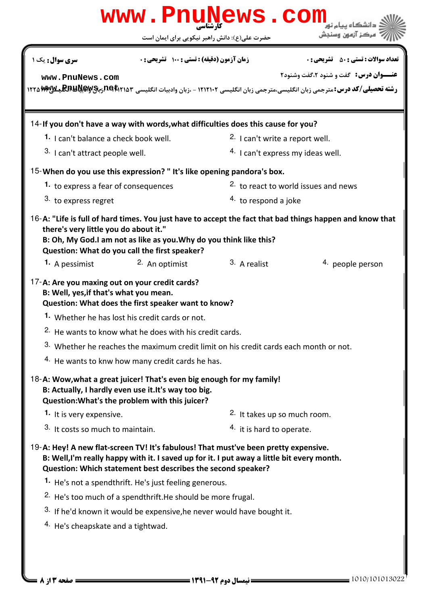|                                                                                                                                                                                 |                                                                         | حضرت علی(ع): دانش راهبر نیکویی برای ایمان است                                              | ءکز آزمون وس                                                                                                                                           |
|---------------------------------------------------------------------------------------------------------------------------------------------------------------------------------|-------------------------------------------------------------------------|--------------------------------------------------------------------------------------------|--------------------------------------------------------------------------------------------------------------------------------------------------------|
| <b>سری سوال:</b> یک ۱                                                                                                                                                           | <b>زمان آزمون (دقیقه) : تستی : 100 تشریحی : 0</b>                       |                                                                                            | <b>تعداد سوالات : تستي : 50 ٪ تشريحي : 0</b>                                                                                                           |
| www.PnuNews.com                                                                                                                                                                 |                                                                         |                                                                                            | <b>عنــوان درس:</b> گفت و شنود ۲،گفت وشنود۲                                                                                                            |
|                                                                                                                                                                                 |                                                                         |                                                                                            | <b>رشته تحصیلی/کد درس:</b> مترجمی زبان انگلیسی،مترجمی زبان انگلیسی ۱۲۱۲۱۰۲ - ،زبان وادبیات انگلیسی n <b>e Ari</b> a۳ وب <b>PAYAA وی</b> کیMWیکیn۲۲۵ MW |
| 14-If you don't have a way with words, what difficulties does this cause for you?                                                                                               |                                                                         |                                                                                            |                                                                                                                                                        |
| 1. I can't balance a check book well.                                                                                                                                           |                                                                         | <sup>2.</sup> I can't write a report well.                                                 |                                                                                                                                                        |
| 3. I can't attract people well.                                                                                                                                                 |                                                                         | <sup>4.</sup> I can't express my ideas well.                                               |                                                                                                                                                        |
| 15-When do you use this expression? "It's like opening pandora's box.                                                                                                           |                                                                         |                                                                                            |                                                                                                                                                        |
| 1. to express a fear of consequences                                                                                                                                            |                                                                         | <sup>2</sup> to react to world issues and news                                             |                                                                                                                                                        |
| 3. to express regret                                                                                                                                                            |                                                                         | 4. to respond a joke                                                                       |                                                                                                                                                        |
| there's very little you do about it."<br>B: Oh, My God.I am not as like as you. Why do you think like this?<br>Question: What do you call the first speaker?                    |                                                                         |                                                                                            | 16-A: "Life is full of hard times. You just have to accept the fact that bad things happen and know that                                               |
| <b>1.</b> A pessimist                                                                                                                                                           | 2. An optimist                                                          | 3. A realist                                                                               | 4. people person                                                                                                                                       |
| 17-A: Are you maxing out on your credit cards?<br>B: Well, yes, if that's what you mean.<br>Question: What does the first speaker want to know?                                 |                                                                         |                                                                                            |                                                                                                                                                        |
|                                                                                                                                                                                 | 1. Whether he has lost his credit cards or not.                         |                                                                                            |                                                                                                                                                        |
|                                                                                                                                                                                 | <sup>2.</sup> He wants to know what he does with his credit cards.      |                                                                                            |                                                                                                                                                        |
|                                                                                                                                                                                 |                                                                         | 3. Whether he reaches the maximum credit limit on his credit cards each month or not.      |                                                                                                                                                        |
|                                                                                                                                                                                 | 4. He wants to knw how many credit cards he has.                        |                                                                                            |                                                                                                                                                        |
| 18-A: Wow, what a great juicer! That's even big enough for my family!<br>B: Actually, I hardly even use it. It's way too big.<br>Question: What's the problem with this juicer? |                                                                         |                                                                                            |                                                                                                                                                        |
| 1. It is very expensive.                                                                                                                                                        |                                                                         | 2. It takes up so much room.                                                               |                                                                                                                                                        |
| 3. It costs so much to maintain.                                                                                                                                                |                                                                         | 4. it is hard to operate.                                                                  |                                                                                                                                                        |
| 19-A: Hey! A new flat-screen TV! It's fabulous! That must've been pretty expensive.<br>Question: Which statement best describes the second speaker?                             |                                                                         | B: Well, I'm really happy with it. I saved up for it. I put away a little bit every month. |                                                                                                                                                        |
|                                                                                                                                                                                 | 1. He's not a spendthrift. He's just feeling generous.                  |                                                                                            |                                                                                                                                                        |
|                                                                                                                                                                                 | <sup>2.</sup> He's too much of a spendthrift. He should be more frugal. |                                                                                            |                                                                                                                                                        |
|                                                                                                                                                                                 |                                                                         | 3. If he'd known it would be expensive, he never would have bought it.                     |                                                                                                                                                        |
| <sup>4.</sup> He's cheapskate and a tightwad.                                                                                                                                   |                                                                         |                                                                                            |                                                                                                                                                        |
|                                                                                                                                                                                 |                                                                         |                                                                                            |                                                                                                                                                        |
|                                                                                                                                                                                 |                                                                         |                                                                                            |                                                                                                                                                        |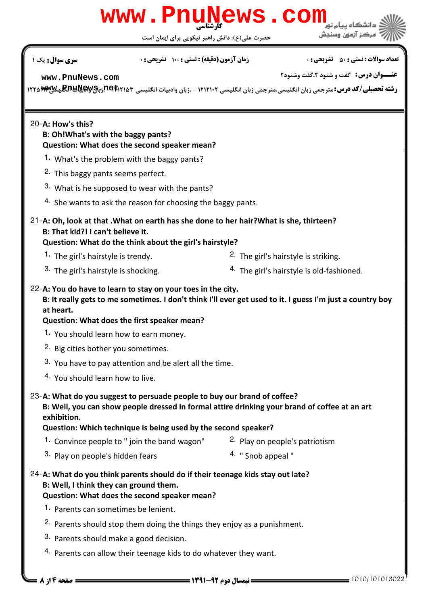# كارشناسي **[www.PnuNews.com](http://pnunews.com)**

حضرت علي(ع): دانش راهبر نيكويي براي ايمان است

نعداد سوالات : تستي : ۵۰ ٪ تشريحي : ۰ ٪ مسري سري سري حمد نشريحي نشريحي : ۰ ، صبحت سري سوال : يک 1

**عنـــوان درس:** گفت و شنود ۲،گفت وشنود۲

**[www.PnuNews.com](http://pnunews.com)**

ر**شته تحصیلی/کد درس:**مترجمی زبان انگلیسی،مترجمی زبان انگلیسی ۱۲۱۲۱۰۲ - ،زبان وادبیات انگلیسی Pet Tra **Mwyyl و RmyM**<br>د

#### 20-A: How's this?

#### B: Oh!What's with the baggy pants? Question: What does the second speaker mean?

- What's the problem with the baggy pants? **1.**
- 2. This baggy pants seems perfect.
- 3. What is he supposed to wear with the pants?
- $4.$  She wants to ask the reason for choosing the baggy pants.

#### 21-A: Oh, look at that . What on earth has she done to her hair? What is she, thirteen? B: That kid?! I can't believe it.

Question: What do the think about the girl's hairstyle?

- 1. The girl's hairstyle is trendy. The girl's hairstyle is striking.
- 3. The girl's hairstyle is shocking.
- 
- $4.$  The girl's hairstyle is old-fashioned.

#### 22-A: You do have to learn to stay on your toes in the city.

B: It really gets to me sometimes. I don't think I'll ever get used to it. I guess I'm just a country boy at heart.

#### Question: What does the first speaker mean?

- You should learn how to earn money. **1.**
- 2. Big cities bother you sometimes.
- 3. You have to pay attention and be alert all the time.
- 4. You should learn how to live.

#### 23-A: What do you suggest to persuade people to buy our brand of coffee?

B: Well, you can show people dressed in formal attire drinking your brand of coffee at an art exhibition.

#### Question: Which technique is being used by the second speaker?

- 1. Convince people to " join the band wagon" <sup>2.</sup> Play on people's patriotism
	-
- $3.$  Play on people's hidden fears  $4.$  "Snob appeal "
	-

#### 24-A: What do you think parents should do if their teenage kids stay out late? B: Well, I think they can ground them.

#### Question: What does the second speaker mean?

- 1. Parents can sometimes be lenient.
- <sup>2.</sup> Parents should stop them doing the things they enjoy as a punishment.
- 3. Parents should make a good decision.
- $4.$  Parents can allow their teenage kids to do whatever they want.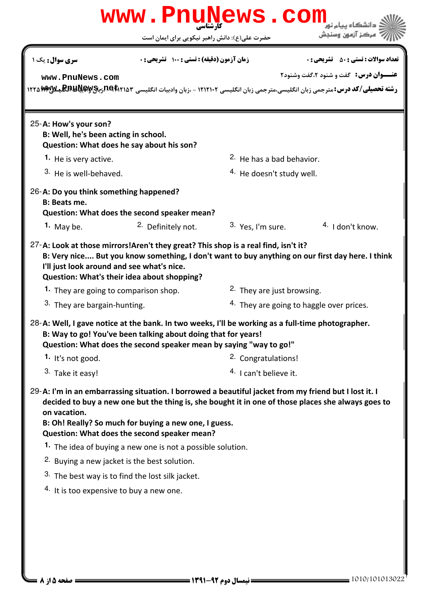|                                                                                                                               | www.PnuNews                                                                                                                                                                                                                                                                                                          | CON                                                                                           |                                                                                                                                         |
|-------------------------------------------------------------------------------------------------------------------------------|----------------------------------------------------------------------------------------------------------------------------------------------------------------------------------------------------------------------------------------------------------------------------------------------------------------------|-----------------------------------------------------------------------------------------------|-----------------------------------------------------------------------------------------------------------------------------------------|
|                                                                                                                               | حضرت علی(ع): دانش راهبر نیکویی برای ایمان است                                                                                                                                                                                                                                                                        |                                                                                               |                                                                                                                                         |
| <b>سری سوال :</b> یک ۱                                                                                                        | زمان آزمون (دقیقه) : تستی : 100 تشریحی : 0                                                                                                                                                                                                                                                                           |                                                                                               | <b>تعداد سوالات : تستی : 50 ٪ تشریحی : 0</b>                                                                                            |
| www.PnuNews.com                                                                                                               |                                                                                                                                                                                                                                                                                                                      |                                                                                               | <b>عنــوان درس:</b> گفت و شنود ۲،گفت وشنود۲                                                                                             |
|                                                                                                                               |                                                                                                                                                                                                                                                                                                                      |                                                                                               | <b>رشته تحصیلی/کد درس:</b> مترجمی زبان انگلیسی،مترجمی زبان انگلیسی ۱۲۱۲۱۰۲ - ،زبان وادبیات انگلیسی P4t۲۱۵۳برب <b>PAYSA ویلایا PT۵MW</b> |
| 25-A: How's your son?<br>B: Well, he's been acting in school.<br>Question: What does he say about his son?                    |                                                                                                                                                                                                                                                                                                                      |                                                                                               |                                                                                                                                         |
| 1. He is very active.                                                                                                         |                                                                                                                                                                                                                                                                                                                      | <sup>2.</sup> He has a bad behavior.                                                          |                                                                                                                                         |
| 3. He is well-behaved.                                                                                                        |                                                                                                                                                                                                                                                                                                                      | <sup>4.</sup> He doesn't study well.                                                          |                                                                                                                                         |
| 26-A: Do you think something happened?<br><b>B: Beats me.</b>                                                                 | Question: What does the second speaker mean?                                                                                                                                                                                                                                                                         |                                                                                               |                                                                                                                                         |
| 1. May be.                                                                                                                    | <sup>2.</sup> Definitely not.                                                                                                                                                                                                                                                                                        | $3.$ Yes, I'm sure.                                                                           | $4.$ I don't know.                                                                                                                      |
| I'll just look around and see what's nice.<br><sup>1</sup> They are going to comparison shop.<br>3. They are bargain-hunting. | B: Very nice But you know something, I don't want to buy anything on our first day here. I think<br>Question: What's their idea about shopping?<br>28-A: Well, I gave notice at the bank. In two weeks, I'll be working as a full-time photographer.                                                                 | <sup>2</sup> . They are just browsing.<br><sup>4.</sup> They are going to haggle over prices. |                                                                                                                                         |
|                                                                                                                               | B: Way to go! You've been talking about doing that for years!<br>Question: What does the second speaker mean by saying "way to go!"                                                                                                                                                                                  |                                                                                               |                                                                                                                                         |
| 1. It's not good.                                                                                                             |                                                                                                                                                                                                                                                                                                                      | <sup>2.</sup> Congratulations!                                                                |                                                                                                                                         |
| <sup>3.</sup> Take it easy!                                                                                                   |                                                                                                                                                                                                                                                                                                                      | <sup>4.</sup> I can't believe it.                                                             |                                                                                                                                         |
| on vacation.                                                                                                                  | 29-A: I'm in an embarrassing situation. I borrowed a beautiful jacket from my friend but I lost it. I<br>decided to buy a new one but the thing is, she bought it in one of those places she always goes to<br>B: Oh! Really? So much for buying a new one, I guess.<br>Question: What does the second speaker mean? |                                                                                               |                                                                                                                                         |
|                                                                                                                               | <sup>1</sup> The idea of buying a new one is not a possible solution.                                                                                                                                                                                                                                                |                                                                                               |                                                                                                                                         |
| <sup>2.</sup> Buying a new jacket is the best solution.                                                                       |                                                                                                                                                                                                                                                                                                                      |                                                                                               |                                                                                                                                         |
|                                                                                                                               | <sup>3.</sup> The best way is to find the lost silk jacket.                                                                                                                                                                                                                                                          |                                                                                               |                                                                                                                                         |
| <sup>4.</sup> It is too expensive to buy a new one.                                                                           |                                                                                                                                                                                                                                                                                                                      |                                                                                               |                                                                                                                                         |
|                                                                                                                               |                                                                                                                                                                                                                                                                                                                      |                                                                                               |                                                                                                                                         |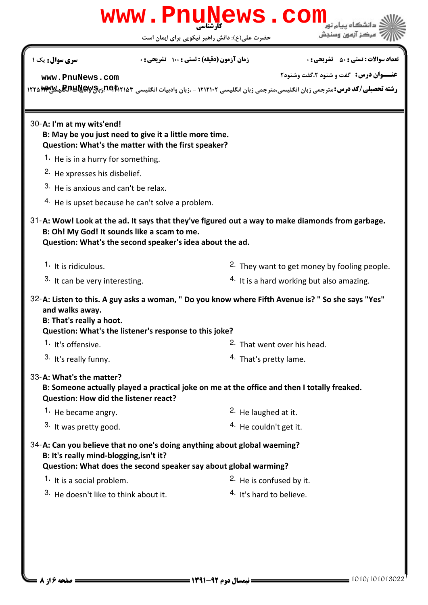|                                                                                                                                                                                         | www.PnuNews.com |                                               |                                                                                                                                                                                   |
|-----------------------------------------------------------------------------------------------------------------------------------------------------------------------------------------|-----------------|-----------------------------------------------|-----------------------------------------------------------------------------------------------------------------------------------------------------------------------------------|
|                                                                                                                                                                                         |                 | حضرت علی(ع): دانش راهبر نیکویی برای ایمان است | ءڪز آزمون وه                                                                                                                                                                      |
| <b>سری سوال :</b> یک ۱                                                                                                                                                                  |                 | زمان آزمون (دقیقه) : تستی : 100 تشریحی : 0    | <b>تعداد سوالات : تستي : 50 ٪ تشريحي : 0</b>                                                                                                                                      |
| www.PnuNews.com                                                                                                                                                                         |                 |                                               | <b>عنــوان درس:</b> گفت و شنود ۲،گفت وشنود۲<br>رشته تحصیلی/کد درس: مترجمی زبان انگلیسی،مترجمی زبان انگلیسی ۱۲۱۲۱۰۲ - ،زبان وادبیات انگلیسی P۹۴۱۲۵۳ برب <b>PAW بهالایه ۱۲۲۵</b> ۳۳ |
| 30-A: I'm at my wits'end!<br>B: May be you just need to give it a little more time.<br>Question: What's the matter with the first speaker?                                              |                 |                                               |                                                                                                                                                                                   |
| 1. He is in a hurry for something.                                                                                                                                                      |                 |                                               |                                                                                                                                                                                   |
| <sup>2.</sup> He xpresses his disbelief.                                                                                                                                                |                 |                                               |                                                                                                                                                                                   |
| 3. He is anxious and can't be relax.                                                                                                                                                    |                 |                                               |                                                                                                                                                                                   |
| <sup>4.</sup> He is upset because he can't solve a problem.                                                                                                                             |                 |                                               |                                                                                                                                                                                   |
| B: Oh! My God! It sounds like a scam to me.<br>Question: What's the second speaker's idea about the ad.                                                                                 |                 |                                               | 31-A: Wow! Look at the ad. It says that they've figured out a way to make diamonds from garbage.                                                                                  |
| 1. It is ridiculous.                                                                                                                                                                    |                 |                                               | <sup>2.</sup> They want to get money by fooling people.                                                                                                                           |
| 3. It can be very interesting.                                                                                                                                                          |                 |                                               | <sup>4.</sup> It is a hard working but also amazing.                                                                                                                              |
| and walks away.<br>B: That's really a hoot.<br>Question: What's the listener's response to this joke?                                                                                   |                 |                                               | 32-A: Listen to this. A guy asks a woman, " Do you know where Fifth Avenue is? " So she says "Yes"                                                                                |
| 1. It's offensive.                                                                                                                                                                      |                 |                                               | <sup>2.</sup> That went over his head.                                                                                                                                            |
| 3. It's really funny.                                                                                                                                                                   |                 |                                               | 4. That's pretty lame.                                                                                                                                                            |
| 33-A: What's the matter?<br>Question: How did the listener react?                                                                                                                       |                 |                                               | B: Someone actually played a practical joke on me at the office and then I totally freaked.                                                                                       |
| 1. He became angry.                                                                                                                                                                     |                 | <sup>2.</sup> He laughed at it.               |                                                                                                                                                                                   |
| 3. It was pretty good.                                                                                                                                                                  |                 |                                               | 4. He couldn't get it.                                                                                                                                                            |
| 34-A: Can you believe that no one's doing anything about global waeming?<br>B: It's really mind-blogging, isn't it?<br>Question: What does the second speaker say about global warming? |                 |                                               |                                                                                                                                                                                   |
| 1. It is a social problem.                                                                                                                                                              |                 |                                               | <sup>2.</sup> He is confused by it.                                                                                                                                               |
| 3. He doesn't like to think about it.                                                                                                                                                   |                 |                                               | <sup>4.</sup> It's hard to believe.                                                                                                                                               |
|                                                                                                                                                                                         |                 |                                               |                                                                                                                                                                                   |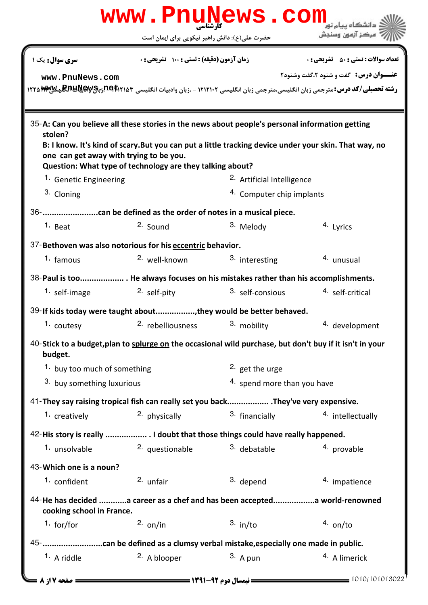|                                                    | www.PnuNews.com                                                                                                                                                                                                                                                       |                            |                                                                                                                                                                    |  |  |
|----------------------------------------------------|-----------------------------------------------------------------------------------------------------------------------------------------------------------------------------------------------------------------------------------------------------------------------|----------------------------|--------------------------------------------------------------------------------------------------------------------------------------------------------------------|--|--|
|                                                    | حضرت علی(ع): دانش راهبر نیکویی برای ایمان است                                                                                                                                                                                                                         |                            | ُ ' مرڪز آزمون وسنڊش                                                                                                                                               |  |  |
| <b>سری سوال :</b> یک ۱                             | <b>زمان آزمون (دقیقه) : تستی : 100 تشریحی : 0</b>                                                                                                                                                                                                                     |                            | <b>تعداد سوالات : تستی : 50 ٪ تشریحی : 0</b>                                                                                                                       |  |  |
| www.PnuNews.com                                    |                                                                                                                                                                                                                                                                       |                            | <b>عنــوان درس:</b> گفت و شنود ۲،گفت وشنود۲<br>رشته تحصیلی/کد درس: مترجمی زبان انگلیسی،مترجمی زبان انگلیسی ۱۲۱۲۱۰۲ - ،زبان وادبیات انگلیسی PE\Pira MWY برRPUM بالا |  |  |
| stolen?<br>one can get away with trying to be you. | 35-A: Can you believe all these stories in the news about people's personal information getting<br>B: I know. It's kind of scary. But you can put a little tracking device under your skin. That way, no<br>Question: What type of technology are they talking about? |                            |                                                                                                                                                                    |  |  |
| 1. Genetic Engineering                             |                                                                                                                                                                                                                                                                       | 2. Artificial Intelligence |                                                                                                                                                                    |  |  |
| 3. Cloning                                         |                                                                                                                                                                                                                                                                       | 4. Computer chip implants  |                                                                                                                                                                    |  |  |
|                                                    |                                                                                                                                                                                                                                                                       |                            |                                                                                                                                                                    |  |  |
| $1.$ Beat                                          | 2. Sound                                                                                                                                                                                                                                                              | 3. Melody                  | 4. Lyrics                                                                                                                                                          |  |  |
|                                                    | 37-Bethoven was also notorious for his eccentric behavior.                                                                                                                                                                                                            |                            |                                                                                                                                                                    |  |  |
| 1. famous                                          | 2. well-known                                                                                                                                                                                                                                                         | 3. interesting             | 4. unusual                                                                                                                                                         |  |  |
|                                                    | 38-Paul is too He always focuses on his mistakes rather than his accomplishments.                                                                                                                                                                                     |                            |                                                                                                                                                                    |  |  |
| 1. self-image                                      | 2. self-pity                                                                                                                                                                                                                                                          | 3. self-consious           | 4. self-critical                                                                                                                                                   |  |  |
|                                                    | 39-If kids today were taught about, they would be better behaved.                                                                                                                                                                                                     |                            |                                                                                                                                                                    |  |  |
|                                                    | 1. coutesy <b>2.</b> rebelliousness and the set of the coutes of the court of the court of the country of the country                                                                                                                                                 |                            | 4. development                                                                                                                                                     |  |  |
| budget.                                            | 40-Stick to a budget, plan to splurge on the occasional wild purchase, but don't buy if it isn't in your                                                                                                                                                              |                            |                                                                                                                                                                    |  |  |
| 1. buy too much of something                       |                                                                                                                                                                                                                                                                       | <sup>2.</sup> get the urge |                                                                                                                                                                    |  |  |
|                                                    | 3. buy something luxurious                                                                                                                                                                                                                                            |                            | 4. spend more than you have                                                                                                                                        |  |  |
|                                                    | 41-They say raising tropical fish can really set you back They've very expensive.                                                                                                                                                                                     |                            |                                                                                                                                                                    |  |  |
| 1. creatively                                      | 2. physically                                                                                                                                                                                                                                                         | 3. financially             | 4. intellectually                                                                                                                                                  |  |  |
|                                                    | 42-His story is really  I doubt that those things could have really happened.                                                                                                                                                                                         |                            |                                                                                                                                                                    |  |  |
| 1. unsolvable                                      | 2. questionable                                                                                                                                                                                                                                                       | 3. debatable               | 4. provable                                                                                                                                                        |  |  |
| 43-Which one is a noun?                            |                                                                                                                                                                                                                                                                       |                            |                                                                                                                                                                    |  |  |
| <sup>1.</sup> confident                            | 2. unfair                                                                                                                                                                                                                                                             | 3. depend                  | 4. impatience                                                                                                                                                      |  |  |
| cooking school in France.                          | 44-He has decided a career as a chef and has been accepteda world-renowned                                                                                                                                                                                            |                            |                                                                                                                                                                    |  |  |
| 1. for/for                                         | $2.$ on/in                                                                                                                                                                                                                                                            | $3.$ in/to                 | $4.$ on/to                                                                                                                                                         |  |  |
|                                                    |                                                                                                                                                                                                                                                                       |                            |                                                                                                                                                                    |  |  |
| 1. A riddle                                        | 2. A blooper                                                                                                                                                                                                                                                          | $3.$ A pun                 | 4. A limerick                                                                                                                                                      |  |  |
| <b>صفحه 17; 8 =</b>                                |                                                                                                                                                                                                                                                                       |                            | $= 1010/101013022$                                                                                                                                                 |  |  |